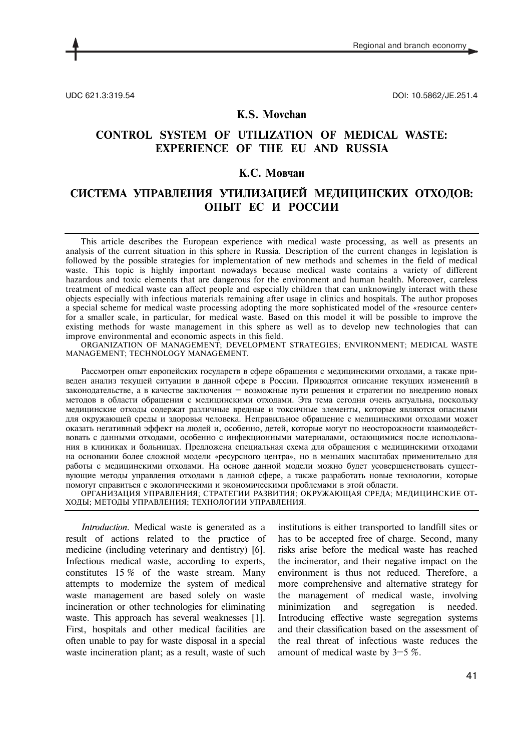

UDC 621.3:319.54 DOI: 10.5862/JE.251.4

### **K.S. Movchan**

# **CONTROL SYSTEM OF UTILIZATION OF MEDICAL WASTE: EXPERIENCE OF THE EU AND RUSSIA**

### **К.С. Мовчан**

## **СИСТЕМА УПРАВЛЕНИЯ УТИЛИЗАЦИЕЙ МЕДИЦИНСКИХ ОТХОДОВ: ОПЫТ ЕС И РОССИИ**

This article describes the European experience with medical waste processing, as well as presents an analysis of the current situation in this sphere in Russia. Description of the current changes in legislation is followed by the possible strategies for implementation of new methods and schemes in the field of medical waste. This topic is highly important nowadays because medical waste contains a variety of different hazardous and toxic elements that are dangerous for the environment and human health. Moreover, careless treatment of medical waste can affect people and especially children that can unknowingly interact with these objects especially with infectious materials remaining after usage in clinics and hospitals. The author proposes a special scheme for medical waste processing adopting the more sophisticated model of the «resource center» for a smaller scale, in particular, for medical waste. Based on this model it will be possible to improve the existing methods for waste management in this sphere as well as to develop new technologies that can improve environmental and economic aspects in this field.

ORGANIZATION OF MANAGEMENT; DEVELOPMENT STRATEGIES; ENVIRONMENT; MEDICAL WASTE MANAGEMENT; TECHNOLOGY MANAGEMENT.

Рассмотрен опыт европейских государств в сфере обращения с медицинскими отходами, а также приведен анализ текущей ситуации в данной сфере в России. Приводятся описание текущих изменений в законодательстве, а в качестве заключения — возможные пути решения и стратегии по внедрению новых методов в области обращения с медицинскими отходами. Эта тема сегодня очень актуальна, поскольку медицинские отходы содержат различные вредные и токсичные элементы, которые являются опасными для окружающей среды и здоровья человека. Неправильное обращение с медицинскими отходами может оказать негативный эффект на людей и, особенно, детей, которые могут по неосторожности взаимодействовать с данными отходами, особенно с инфекционными материалами, остающимися после использования в клиниках и больницах. Предложена специальная схема для обращения с медицинскими отходами на основании более сложной модели «ресурсного центра», но в меньших масштабах применительно для работы с медицинскими отходами. На основе данной модели можно будет усовершенствовать существующие методы управления отходами в данной сфере, а также разработать новые технологии, которые помогут справиться с экологическими и экономическими проблемами в этой области.

ОРГАНИЗАЦИЯ УПРАВЛЕНИЯ; СТРАТЕГИИ РАЗВИТИЯ; ОКРУЖАЮЩАЯ СРЕДА; МЕДИЦИНСКИЕ ОТ-ХОДЫ; МЕТОДЫ УПРАВЛЕНИЯ; ТЕХНОЛОГИИ УПРАВЛЕНИЯ.

*Introduction.* Medical waste is generated as a result of actions related to the practice of medicine (including veterinary and dentistry) [6]. Infectious medical waste, according to experts, constitutes 15 % of the waste stream. Many attempts to modernize the system of medical waste management are based solely on waste incineration or other technologies for eliminating waste. This approach has several weaknesses [1]. First, hospitals and other medical facilities are often unable to pay for waste disposal in a special waste incineration plant; as a result, waste of such institutions is either transported to landfill sites or has to be accepted free of charge. Second, many risks arise before the medical waste has reached the incinerator, and their negative impact on the environment is thus not reduced. Therefore, a more comprehensive and alternative strategy for the management of medical waste, involving minimization and segregation is needed. Introducing effective waste segregation systems and their classification based on the assessment of the real threat of infectious waste reduces the amount of medical waste by 3—5 %.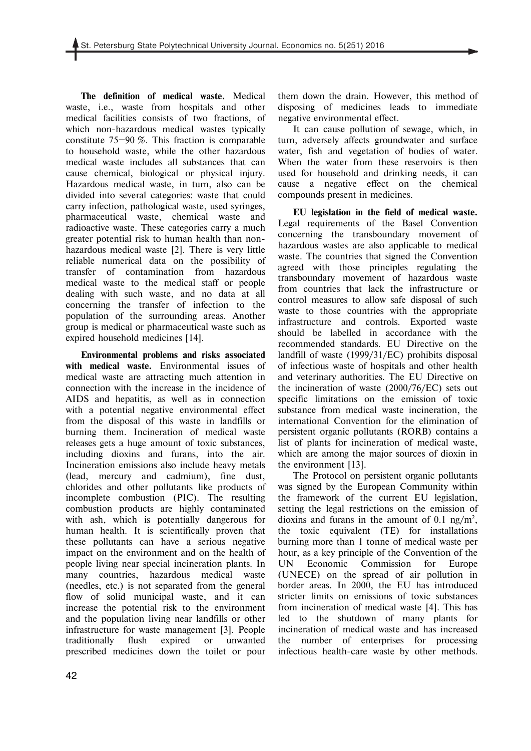**The definition of medical waste.** Medical waste, i.e., waste from hospitals and other medical facilities consists of two fractions, of which non-hazardous medical wastes typically constitute 75—90 %. This fraction is comparable to household waste, while the other hazardous medical waste includes all substances that can cause chemical, biological or physical injury. Hazardous medical waste, in turn, also can be divided into several categories: waste that could carry infection, pathological waste, used syringes, pharmaceutical waste, chemical waste and radioactive waste. These categories carry a much greater potential risk to human health than nonhazardous medical waste [2]. There is very little reliable numerical data on the possibility of transfer of contamination from hazardous medical waste to the medical staff or people dealing with such waste, and no data at all concerning the transfer of infection to the population of the surrounding areas. Another group is medical or pharmaceutical waste such as expired household medicines [14].

**Environmental problems and risks associated with medical waste.** Environmental issues of medical waste are attracting much attention in connection with the increase in the incidence of AIDS and hepatitis, as well as in connection with a potential negative environmental effect from the disposal of this waste in landfills or burning them. Incineration of medical waste releases gets a huge amount of toxic substances, including dioxins and furans, into the air. Incineration emissions also include heavy metals (lead, mercury and cadmium), fine dust, chlorides and other pollutants like products of incomplete combustion (РIC). The resulting combustion products are highly contaminated with ash, which is potentially dangerous for human health. It is scientifically proven that these pollutants can have a serious negative impact on the environment and on the health of people living near special incineration plants. In many countries, hazardous medical waste (needles, etc.) is not separated from the general flow of solid municipal waste, and it can increase the potential risk to the environment and the population living near landfills or other infrastructure for waste management [3]. People traditionally flush expired or unwanted prescribed medicines down the toilet or pour

them down the drain. However, this method of disposing of medicines leads to immediate negative environmental effect.

It can cause pollution of sewage, which, in turn, adversely affects groundwater and surface water, fish and vegetation of bodies of water. When the water from these reservoirs is then used for household and drinking needs, it can cause a negative effect on the chemical compounds present in medicines.

**EU legislation in the field of medical waste.**  Legal requirements of the Basel Convention concerning the transboundary movement of hazardous wastes are also applicable to medical waste. The countries that signed the Convention agreed with those principles regulating the transboundary movement of hazardous waste from countries that lack the infrastructure or control measures to allow safe disposal of such waste to those countries with the appropriate infrastructure and controls. Exported waste should be labelled in accordance with the recommended standards. EU Directive on the landfill of waste (1999/31/EC) prohibits disposal of infectious waste of hospitals and other health and veterinary authorities. The EU Directive on the incineration of waste (2000/76/EC) sets out specific limitations on the emission of toxic substance from medical waste incineration, the international Convention for the elimination of persistent organic pollutants (RORB) contains a list of plants for incineration of medical waste, which are among the major sources of dioxin in the environment [13].

The Protocol on persistent organic pollutants was signed by the European Community within the framework of the current EU legislation, setting the legal restrictions on the emission of dioxins and furans in the amount of 0.1 ng/m<sup>2</sup>, the toxic equivalent (TE) for installations burning more than 1 tonne of medical waste per hour, as a key principle of the Convention of the UN Economic Commission for Europe (UNECE) on the spread of air pollution in border areas. In 2000, the EU has introduced stricter limits on emissions of toxic substances from incineration of medical waste [4]. This has led to the shutdown of many plants for incineration of medical waste and has increased the number of enterprises for processing infectious health-care waste by other methods.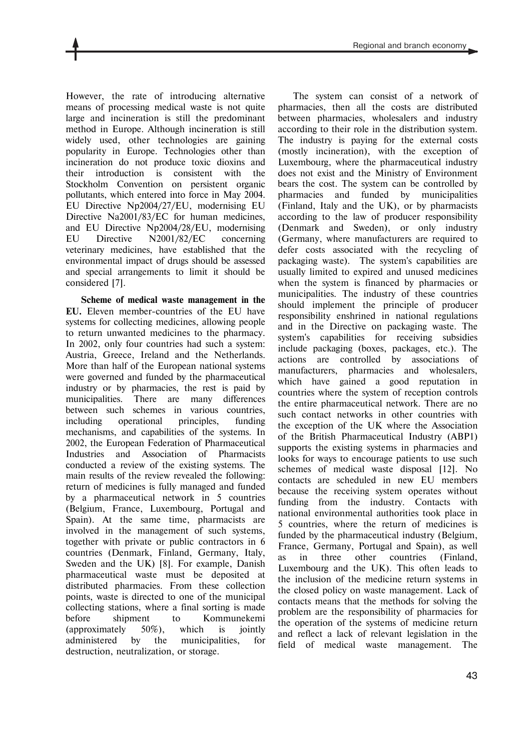However, the rate of introducing alternative means of processing medical waste is not quite large and incineration is still the predominant method in Europe. Although incineration is still widely used, other technologies are gaining popularity in Europe. Technologies other than incineration do not produce toxic dioxins and their introduction is consistent with the Stockholm Convention on persistent organic pollutants, which entered into force in May 2004. EU Directive Np2004/27/EU, modernising EU Directive Na2001/83/EC for human medicines, and EU Directive Np2004/28/EU, modernising EU Directive N2001/82/EC concerning veterinary medicines, have established that the environmental impact of drugs should be assessed and special arrangements to limit it should be considered [7].

**Scheme of medical waste management in the EU.** Eleven member-countries of the EU have systems for collecting medicines, allowing people to return unwanted medicines to the pharmacy. In 2002, only four countries had such a system: Austria, Greece, Ireland and the Netherlands. More than half of the European national systems were governed and funded by the pharmaceutical industry or by pharmacies, the rest is paid by municipalities. There are many differences between such schemes in various countries, including operational principles, funding mechanisms, and capabilities of the systems. In 2002, the European Federation of Pharmaceutical Industries and Association of Pharmacists conducted a review of the existing systems. The main results of the review revealed the following: return of medicines is fully managed and funded by a pharmaceutical network in 5 countries (Belgium, France, Luxembourg, Portugal and Spain). At the same time, pharmacists are involved in the management of such systems, together with private or public contractors in 6 countries (Denmark, Finland, Germany, Italy, Sweden and the UK) [8]. For example, Danish pharmaceutical waste must be deposited at distributed pharmacies. From these collection points, waste is directed to one of the municipal collecting stations, where a final sorting is made before shipment to Kommunekemi (approximately 50%), which is jointly administered by the municipalities, for destruction, neutralization, or storage.

The system can consist of a network of pharmacies, then all the costs are distributed between pharmacies, wholesalers and industry according to their role in the distribution system. The industry is paying for the external costs (mostly incineration), with the exception of Luxembourg, where the pharmaceutical industry does not exist and the Ministry of Environment bears the cost. The system can be controlled by pharmacies and funded by municipalities (Finland, Italy and the UK), or by pharmacists according to the law of producer responsibility (Denmark and Sweden), or only industry (Germany, where manufacturers are required to defer costs associated with the recycling of packaging waste). The system's capabilities are usually limited to expired and unused medicines when the system is financed by pharmacies or municipalities. The industry of these countries should implement the principle of producer responsibility enshrined in national regulations and in the Directive on packaging waste. The system's capabilities for receiving subsidies include packaging (boxes, packages, etc.). The actions are controlled by associations of manufacturers, pharmacies and wholesalers, which have gained a good reputation in countries where the system of reception controls the entire pharmaceutical network. There are no such contact networks in other countries with the exception of the UK where the Association of the British Pharmaceutical Industry (АВР1) supports the existing systems in pharmacies and looks for ways to encourage patients to use such schemes of medical waste disposal [12]. No contacts are scheduled in new EU members because the receiving system operates without funding from the industry. Contacts with national environmental authorities took place in 5 countries, where the return of medicines is funded by the pharmaceutical industry (Belgium, France, Germany, Portugal and Spain), as well as in three other countries (Finland, Luxembourg and the UK). This often leads to the inclusion of the medicine return systems in the closed policy on waste management. Lack of contacts means that the methods for solving the problem are the responsibility of pharmacies for the operation of the systems of medicine return and reflect a lack of relevant legislation in the field of medical waste management. The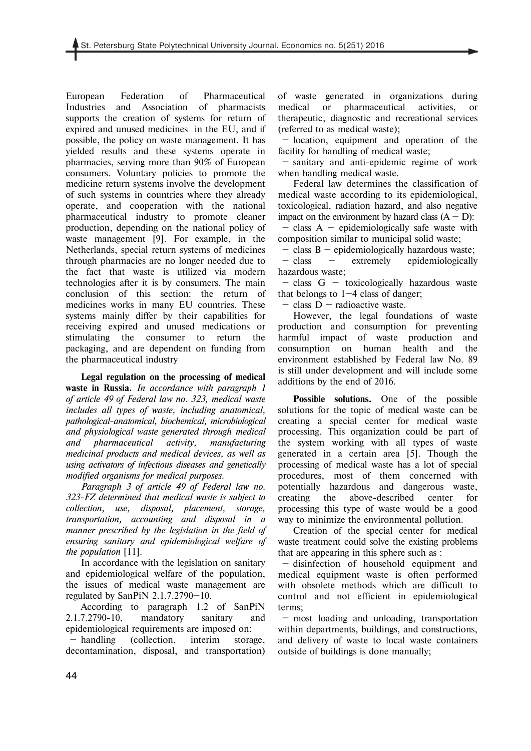European Federation of Pharmaceutical Industries and Association of pharmacists supports the creation of systems for return of expired and unused medicines in the EU, and if possible, the policy on waste management. It has yielded results and these systems operate in pharmacies, serving more than 90% of European consumers. Voluntary policies to promote the medicine return systems involve the development of such systems in countries where they already operate, and cooperation with the national pharmaceutical industry to promote cleaner production, depending on the national policy of waste management [9]. For example, in the Netherlands, special return systems of medicines through pharmacies are no longer needed due to the fact that waste is utilized via modern technologies after it is by consumers. The main conclusion of this section: the return of medicines works in many EU countries. These systems mainly differ by their capabilities for receiving expired and unused medications or stimulating the consumer to return the packaging, and are dependent on funding from the pharmaceutical industry

**Legal regulation on the processing of medical waste in Russia.** *In accordance with paragraph 1 of article 49 of Federal law no. 323, medical waste includes all types of waste, including anatomical, pathological-anatomical, biochemical, microbiological and physiological waste generated through medical and pharmaceutical activity, manufacturing medicinal products and medical devices, as well as using activators of infectious diseases and genetically modified organisms for medical purposes.* 

*Paragraph 3 of article 49 of Federal law no. 323-FZ determined that medical waste is subject to collection, use, disposal, placement, storage, transportation, accounting and disposal in a manner prescribed by the legislation in the field of ensuring sanitary and epidemiological welfare of the population* [11].

In accordance with the legislation on sanitary and epidemiological welfare of the population, the issues of medical waste management are regulated by SanPiN 2.1.7.2790—10.

According to paragraph 1.2 of SanPiN 2.1.7.2790-10, mandatory sanitary and epidemiological requirements are imposed on:

 — handling (collection, interim storage, decontamination, disposal, and transportation) of waste generated in organizations during medical or pharmaceutical activities, or therapeutic, diagnostic and recreational services (referred to as medical waste);

 — location, equipment and operation of the facility for handling of medical waste;

 — sanitary and anti-epidemic regime of work when handling medical waste.

Federal law determines the classification of medical waste according to its epidemiological, toxicological, radiation hazard, and also negative impact on the environment by hazard class  $(A - D)$ :

 $-$  class A – epidemiologically safe waste with composition similar to municipal solid waste;

 $-$  class B  $-$  epidemiologically hazardous waste; — class — extremely epidemiologically hazardous waste;

 — class G — toxicologically hazardous waste that belongs to  $1-4$  class of danger;

 $-$  class  $D$  – radioactive waste.

However, the legal foundations of waste production and consumption for preventing harmful impact of waste production and consumption on human health and the environment established by Federal law No. 89 is still under development and will include some additions by the end of 2016.

**Possible solutions.** One of the possible solutions for the topic of medical waste can be creating a special center for medical waste processing. This organization could be part of the system working with all types of waste generated in a certain area [5]. Though the processing of medical waste has a lot of special procedures, most of them concerned with potentially hazardous and dangerous waste, creating the above-described center for processing this type of waste would be a good way to minimize the environmental pollution.

Creation of the special center for medical waste treatment could solve the existing problems that are appearing in this sphere such as :

 — disinfection of household equipment and medical equipment waste is often performed with obsolete methods which are difficult to control and not efficient in epidemiological terms;

 — most loading and unloading, transportation within departments, buildings, and constructions, and delivery of waste to local waste containers outside of buildings is done manually;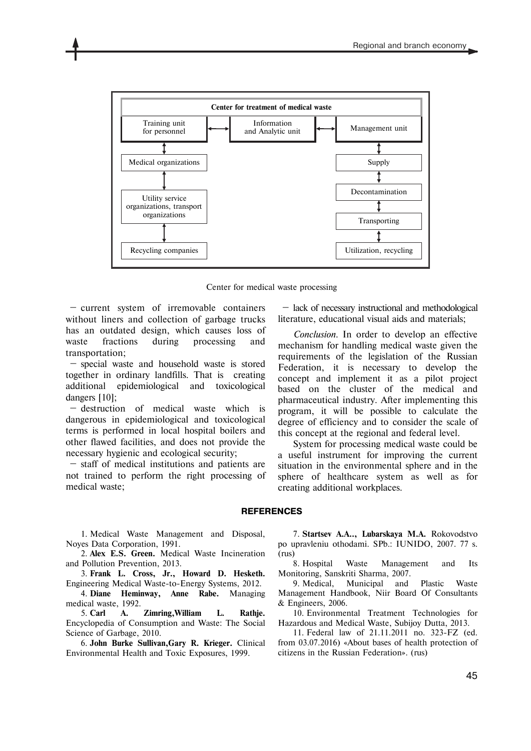

Center for medical waste processing

 — current system of irremovable containers without liners and collection of garbage trucks has an outdated design, which causes loss of waste fractions during processing and transportation;

 — special waste and household waste is stored together in ordinary landfills. That is creating additional epidemiological and toxicological dangers [10];

 — destruction of medical waste which is dangerous in epidemiological and toxicological terms is performed in local hospital boilers and other flawed facilities, and does not provide the necessary hygienic and ecological security;

 — staff of medical institutions and patients are not trained to perform the right processing of medical waste;

 — lack of necessary instructional and methodological literature, educational visual aids and materials;

*Conclusion.* In order to develop an effective mechanism for handling medical waste given the requirements of the legislation of the Russian Federation, it is necessary to develop the concept and implement it as a pilot project based on the cluster of the medical and pharmaceutical industry. After implementing this program, it will be possible to calculate the degree of efficiency and to consider the scale of this concept at the regional and federal level.

System for processing medical waste could be a useful instrument for improving the current situation in the environmental sphere and in the sphere of healthcare system as well as for creating additional workplaces.

#### **REFERENCES**

1. Medical Waste Management and Disposal, Noyes Data Corporation, 1991.

2. **Alex E.S. Green.** Medical Waste Incineration and Pollution Prevention, 2013.

3. **Frank L. Cross, Jr., Howard D. Hesketh.**  Engineering Medical Waste-to-Energy Systems, 2012.

4. **Diane Heminway, Anne Rabe.** Managing medical waste, 1992.

5. **Carl A. Zimring,William L. Rathje.**  Encyclopedia of Consumption and Waste: The Social Science of Garbage, 2010.

6. **John Burke Sullivan,Gary R. Krieger.** Clinical Environmental Health and Toxic Exposures, 1999.

7. **Startsev A.A.., Lubarskaya M.A.** Rokovodstvo po upravleniu othodami. SPb.: IUNIDO, 2007. 77 s. (rus)

8. Hospital Waste Management and Its Monitoring, Sanskriti Sharma, 2007.

9. Medical, Municipal and Plastic Waste Management Handbook, Niir Board Of Consultants & Engineers, 2006.

10. Environmental Treatment Technologies for Hazardous and Medical Waste, Subijoy Dutta, 2013.

11. Federal law of 21.11.2011 no. 323-FZ (ed. from 03.07.2016) «About bases of health protection of citizens in the Russian Federation». (rus)